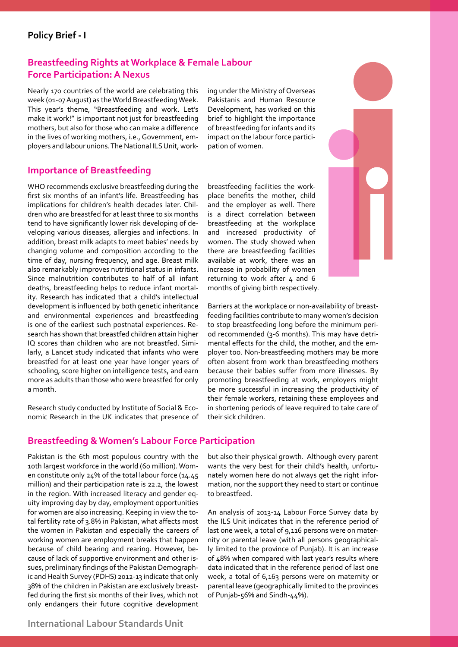### **Policy Brief - I**

### **Breastfeeding Rights at Workplace & Female Labour Force Participation: A Nexus**

Nearly 170 countries of the world are celebrating this week (01-07 August) as the World Breastfeeding Week. This year's theme, "Breastfeeding and work. Let's make it work!" is important not just for breastfeeding mothers, but also for those who can make a difference in the lives of working mothers, i.e., Government, employers and labour unions. The National ILS Unit, work-

**Importance of Breastfeeding**

WHO recommends exclusive breastfeeding during the first six months of an infant's life. Breastfeeding has implications for children's health decades later. Children who are breastfed for at least three to six months tend to have significantly lower risk developing of developing various diseases, allergies and infections. In addition, breast milk adapts to meet babies' needs by changing volume and composition according to the time of day, nursing frequency, and age. Breast milk also remarkably improves nutritional status in infants. Since malnutrition contributes to half of all infant deaths, breastfeeding helps to reduce infant mortality. Research has indicated that a child's intellectual development is influenced by both genetic inheritance and environmental experiences and breastfeeding is one of the earliest such postnatal experiences. Research has shown that breastfed children attain higher IQ scores than children who are not breastfed. Similarly, a Lancet study indicated that infants who were breastfed for at least one year have longer years of schooling, score higher on intelligence tests, and earn more as adults than those who were breastfed for only a month.

Research study conducted by Institute of Social & Economic Research in the UK indicates that presence of ing under the Ministry of Overseas Pakistanis and Human Resource Development, has worked on this brief to highlight the importance of breastfeeding for infants and its impact on the labour force participation of women.

breastfeeding facilities the workplace benefits the mother, child and the employer as well. There is a direct correlation between breastfeeding at the workplace and increased productivity of women. The study showed when there are breastfeeding facilities available at work, there was an increase in probability of women returning to work after  $4$  and 6 months of giving birth respectively.



Barriers at the workplace or non-availability of breastfeeding facilities contribute to many women's decision to stop breastfeeding long before the minimum period recommended (3-6 months). This may have detrimental effects for the child, the mother, and the employer too. Non-breastfeeding mothers may be more often absent from work than breastfeeding mothers because their babies suffer from more illnesses. By promoting breastfeeding at work, employers might be more successful in increasing the productivity of their female workers, retaining these employees and in shortening periods of leave required to take care of their sick children.

### **Breastfeeding & Women's Labour Force Participation**

Pakistan is the 6th most populous country with the 10th largest workforce in the world (60 million). Women constitute only 24% of the total labour force (14.45 million) and their participation rate is 22.2, the lowest in the region. With increased literacy and gender equity improving day by day, employment opportunities for women are also increasing. Keeping in view the total fertility rate of 3.8% in Pakistan, what affects most the women in Pakistan and especially the careers of working women are employment breaks that happen because of child bearing and rearing. However, because of lack of supportive environment and other issues, preliminary findings of the Pakistan Demographic and Health Survey (PDHS) 2012-13 indicate that only 38% of the children in Pakistan are exclusively breastfed during the first six months of their lives, which not only endangers their future cognitive development

but also their physical growth. Although every parent wants the very best for their child's health, unfortunately women here do not always get the right information, nor the support they need to start or continue to breastfeed.

An analysis of 2013-14 Labour Force Survey data by the ILS Unit indicates that in the reference period of last one week, a total of 9,116 persons were on maternity or parental leave (with all persons geographically limited to the province of Punjab). It is an increase of 48% when compared with last year's results where data indicated that in the reference period of last one week, a total of 6,163 persons were on maternity or parental leave (geographically limited to the provinces of Punjab-56% and Sindh-44%).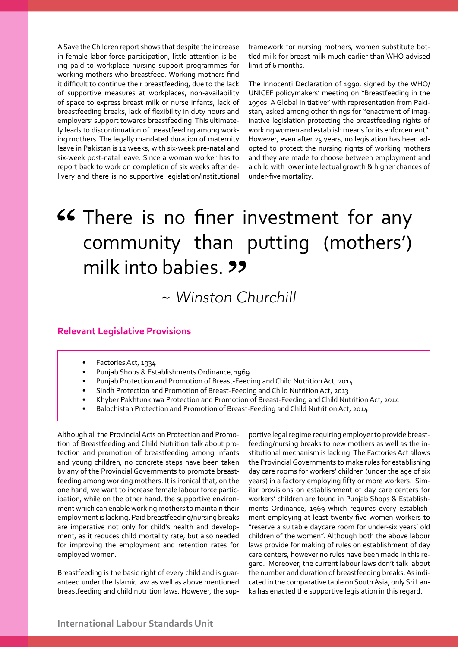A Save the Children report shows that despite the increase in female labor force participation, little attention is being paid to workplace nursing support programmes for working mothers who breastfeed. Working mothers find it difficult to continue their breastfeeding, due to the lack of supportive measures at workplaces, non-availability of space to express breast milk or nurse infants, lack of breastfeeding breaks, lack of flexibility in duty hours and employers' support towards breastfeeding. This ultimately leads to discontinuation of breastfeeding among working mothers. The legally mandated duration of maternity leave in Pakistan is 12 weeks, with six-week pre-natal and six-week post-natal leave. Since a woman worker has to report back to work on completion of six weeks after delivery and there is no supportive legislation/institutional framework for nursing mothers, women substitute bottled milk for breast milk much earlier than WHO advised limit of 6 months.

The Innocenti Declaration of 1990, signed by the WHO/ UNICEF policymakers' meeting on "Breastfeeding in the 1990s: A Global Initiative" with representation from Pakistan, asked among other things for "enactment of imaginative legislation protecting the breastfeeding rights of working women and establish means for its enforcement". However, even after 25 years, no legislation has been adopted to protect the nursing rights of working mothers and they are made to choose between employment and a child with lower intellectual growth & higher chances of under-five mortality.

# 66 There is no finer investment for any community than putting (mothers') milk into babies. **22**

# ~ *Winston Churchill*

#### **Relevant Legislative Provisions**

- Factories Act, 1934
- Punjab Shops & Establishments Ordinance, 1969
- Punjab Protection and Promotion of Breast-Feeding and Child Nutrition Act, 2014
- Sindh Protection and Promotion of Breast-Feeding and Child Nutrition Act, 2013
- Khyber Pakhtunkhwa Protection and Promotion of Breast-Feeding and Child Nutrition Act, 2014
- Balochistan Protection and Promotion of Breast-Feeding and Child Nutrition Act, 2014

Although all the Provincial Acts on Protection and Promotion of Breastfeeding and Child Nutrition talk about protection and promotion of breastfeeding among infants and young children, no concrete steps have been taken by any of the Provincial Governments to promote breastfeeding among working mothers. It is ironical that, on the one hand, we want to increase female labour force participation, while on the other hand, the supportive environment which can enable working mothers to maintain their employment is lacking. Paid breastfeeding/nursing breaks are imperative not only for child's health and development, as it reduces child mortality rate, but also needed for improving the employment and retention rates for employed women.

Breastfeeding is the basic right of every child and is guaranteed under the Islamic law as well as above mentioned breastfeeding and child nutrition laws. However, the supportive legal regime requiring employer to provide breastfeeding/nursing breaks to new mothers as well as the institutional mechanism is lacking. The Factories Act allows the Provincial Governments to make rules for establishing day care rooms for workers' children (under the age of six years) in a factory employing fifty or more workers. Similar provisions on establishment of day care centers for workers' children are found in Punjab Shops & Establishments Ordinance, 1969 which requires every establishment employing at least twenty five women workers to "reserve a suitable daycare room for under-six years' old children of the women". Although both the above labour laws provide for making of rules on establishment of day care centers, however no rules have been made in this regard. Moreover, the current labour laws don't talk about the number and duration of breastfeeding breaks. As indicated in the comparative table on South Asia, only Sri Lanka has enacted the supportive legislation in this regard.